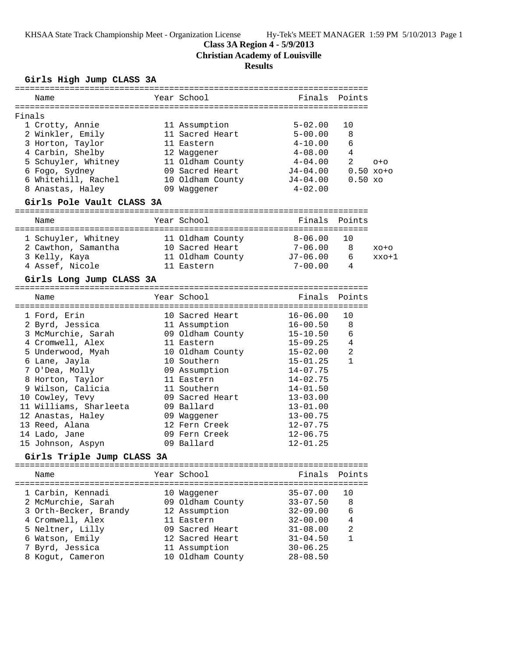KHSAA State Track Championship Meet - Organization License Hy-Tek's MEET MANAGER 1:59 PM 5/10/2013 Page 1

#### **Class 3A Region 4 - 5/9/2013**

**Christian Academy of Louisville**

### **Results**

### **Girls High Jump CLASS 3A**

| Name                                                           |  | Year School              | Finals Points         |                     |                   |  |  |
|----------------------------------------------------------------|--|--------------------------|-----------------------|---------------------|-------------------|--|--|
|                                                                |  |                          |                       |                     |                   |  |  |
| Finals                                                         |  |                          |                       |                     |                   |  |  |
| 1 Crotty, Annie                                                |  | 11 Assumption            | $5 - 02.00$           | 10                  |                   |  |  |
| 2 Winkler, Emily                                               |  | 11 Sacred Heart          | $5 - 00.00$           | 8                   |                   |  |  |
| 3 Horton, Taylor                                               |  | 11 Eastern               | $4-10.00$             | 6                   |                   |  |  |
| 4 Carbin, Shelby                                               |  | 12 Waggener              | $4\hbox{--}08$ . $00$ | 4                   |                   |  |  |
| 5 Schuyler, Whitney                                            |  | 11 Oldham County         | $4-04.00$             | $\mathfrak{D}$      | $O + O$           |  |  |
| 6 Fogo, Sydney                                                 |  | 09 Sacred Heart          | J4-04.00              |                     | $0.50 \times 0+0$ |  |  |
| 6 Whitehill, Rachel                                            |  | 10 Oldham County         | J4-04.00              | 0.50 x <sub>O</sub> |                   |  |  |
| 8 Anastas, Haley                                               |  | 09 Waqqener              | $4 - 02.00$           |                     |                   |  |  |
|                                                                |  |                          |                       |                     |                   |  |  |
| Girls Pole Vault CLASS 3A                                      |  |                          |                       |                     |                   |  |  |
| Name                                                           |  | Year School              | Finals                | Points              |                   |  |  |
|                                                                |  |                          |                       |                     |                   |  |  |
| 1 Schuyler, Whitney                                            |  | 11 Oldham County 8-06.00 |                       | 10                  |                   |  |  |
| 2 Cawthon, Samantha                                            |  | 10 Sacred Heart          | $7-06.00$             | 8                   | $XO+O$            |  |  |
| 3 Kelly, Kaya                                                  |  | 11 Oldham County         | J7-06.00              | 6                   | $xxo+1$           |  |  |
| 4 Assef, Nicole                                                |  | 11 Eastern               | $7-00.00$             | 4                   |                   |  |  |
|                                                                |  |                          |                       |                     |                   |  |  |
| Girls Long Jump CLASS 3A                                       |  |                          |                       |                     |                   |  |  |
|                                                                |  |                          |                       |                     |                   |  |  |
| Name                                                           |  | Year School              | Finals                | Points              |                   |  |  |
| ===================================                            |  |                          |                       |                     |                   |  |  |
| 1 Ford, Erin                                                   |  | 10 Sacred Heart          | $16 - 06.00$          | 10                  |                   |  |  |
| $2.15 \text{ m/s}$ Teggins $11.2$ squimption $16.00 \text{ m}$ |  |                          |                       |                     |                   |  |  |

| T LOIA' FITH           | IN DACIEU HEAIL  | $10 - U0$ . UU | T N |
|------------------------|------------------|----------------|-----|
| 2 Byrd, Jessica        | 11 Assumption    | $16 - 00.50$   | 8   |
| 3 McMurchie, Sarah     | 09 Oldham County | 15-10.50       | 6   |
| 4 Cromwell, Alex       | 11 Eastern       | $15 - 09.25$   | 4   |
| 5 Underwood, Myah      | 10 Oldham County | $15 - 02.00$   | 2   |
| 6 Lane, Jayla          | 10 Southern      | 15-01.25       | 1   |
| 7 O'Dea, Molly         | 09 Assumption    | $14 - 07.75$   |     |
| 8 Horton, Taylor       | 11 Eastern       | $14 - 02.75$   |     |
| 9 Wilson, Calicia      | 11 Southern      | $14 - 01.50$   |     |
| 10 Cowley, Tevy        | 09 Sacred Heart  | $13 - 03.00$   |     |
| 11 Williams, Sharleeta | 09 Ballard       | $13 - 01.00$   |     |
| 12 Anastas, Haley      | 09 Waqqener      | $13 - 00.75$   |     |
| 13 Reed, Alana         | 12 Fern Creek    | $12 - 07.75$   |     |
| 14 Lado, Jane          | 09 Fern Creek    | $12 - 06.75$   |     |
| 15 Johnson, Aspyn      | 09 Ballard       | $12 - 01.25$   |     |
|                        |                  |                |     |

#### **Girls Triple Jump CLASS 3A**

======================================================================= Name The Year School The Finals Points ======================================================================= 1 Carbin, Kennadi 10 Waggener 35-07.00 10 2 McMurchie, Sarah 09 Oldham County 33-07.50 8 3 Orth-Becker, Brandy 12 Assumption 32-09.00 6 4 Cromwell, Alex 11 Eastern 32-00.00 4 5 Neltner, Lilly 09 Sacred Heart 31-08.00 2 6 Watson, Emily 12 Sacred Heart 31-04.50 1 7 Byrd, Jessica 11 Assumption 30-06.25 8 Kogut, Cameron 10 Oldham County 28-08.50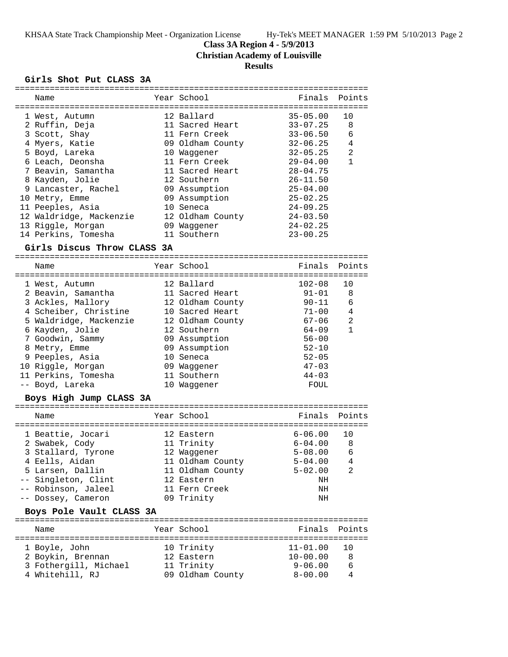KHSAA State Track Championship Meet - Organization License Hy-Tek's MEET MANAGER 1:59 PM 5/10/2013 Page 2

**Class 3A Region 4 - 5/9/2013**

**Christian Academy of Louisville**

# **Results**

#### **Girls Shot Put CLASS 3A**

| Name                        | Year School      | Finals       | Points         |
|-----------------------------|------------------|--------------|----------------|
|                             |                  |              |                |
| 1 West, Autumn              | 12 Ballard       | $35 - 05.00$ | 10             |
| 2 Ruffin, Deja              | 11 Sacred Heart  | $33 - 07.25$ | 8              |
| 3 Scott, Shay               | 11 Fern Creek    | $33 - 06.50$ | 6              |
| 4 Myers, Katie              | 09 Oldham County | $32 - 06.25$ | 4              |
| 5 Boyd, Lareka              | 10 Waggener      | $32 - 05.25$ | $\overline{a}$ |
| 6 Leach, Deonsha            | 11 Fern Creek    | $29 - 04.00$ | $\mathbf{1}$   |
| 7 Beavin, Samantha          | 11 Sacred Heart  | $28 - 04.75$ |                |
| 8 Kayden, Jolie             | 12 Southern      | $26 - 11.50$ |                |
| 9 Lancaster, Rachel         | 09 Assumption    | $25 - 04.00$ |                |
| 10 Metry, Emme              | 09 Assumption    | $25 - 02.25$ |                |
| 11 Peeples, Asia            | 10 Seneca        | $24 - 09.25$ |                |
| 12 Waldridge, Mackenzie     | 12 Oldham County | $24 - 03.50$ |                |
| 13 Riggle, Morgan           | 09 Waggener      | $24 - 02.25$ |                |
| 14 Perkins, Tomesha         | 11 Southern      | $23 - 00.25$ |                |
| Girls Discus Throw CLASS 3A |                  |              |                |
|                             |                  |              |                |
| Name                        | Year School      |              | Finals Points  |
| 1 West, Autumn              | 12 Ballard       | $102 - 08$   | 10             |
| 2 Beavin, Samantha          | 11 Sacred Heart  | $91 - 01$    | 8              |
| 3 Ackles, Mallory           | 12 Oldham County | 90-11        | 6              |
| 4 Scheiber, Christine       | 10 Sacred Heart  | $71 - 00$    | 4              |
| 5 Waldridge, Mackenzie      | 12 Oldham County | $67 - 06$    | 2              |
| 6 Kayden, Jolie             | 12 Southern      | 64-09        | $\mathbf{1}$   |
| 7 Goodwin, Sammy            | 09 Assumption    | $56 - 00$    |                |
| 8 Metry, Emme               | 09 Assumption    | $52 - 10$    |                |
| 9 Peeples, Asia             | 10 Seneca        | $52 - 05$    |                |
| 10 Riggle, Morgan           | 09 Waggener      | $47 - 03$    |                |
| 11 Perkins, Tomesha         | 11 Southern      | $44 - 03$    |                |
| -- Boyd, Lareka             | 10 Waqqener      | FOUL         |                |
| Boys High Jump CLASS 3A     |                  |              |                |
|                             |                  |              |                |
| Name                        | Year School      | Finals       | Points         |
| 1 Beattie, Jocari           | 12 Eastern       | $6 - 06.00$  | 10             |
| 2 Swabek, Cody              | 11 Trinity       | $6 - 04.00$  | 8              |
| 3 Stallard, Tyrone          | 12 Waggener      | $5 - 08.00$  | 6              |
| 4 Eells, Aidan              | 11 Oldham County | $5 - 04.00$  | 4              |
| 5 Larsen, Dallin            | 11 Oldham County | $5 - 02.00$  | 2              |
| -- Singleton, Clint         | 12 Eastern       | NH           |                |
| -- Robinson, Jaleel         | 11 Fern Creek    | NH           |                |
| -- Dossey, Cameron          | 09 Trinity       | NH           |                |
| Boys Pole Vault CLASS 3A    |                  |              |                |
|                             |                  |              |                |
| Name                        | Year School      | Finals       | Points         |
| 1 Boyle, John               | 10 Trinity       | $11 - 01.00$ | 10             |
| 2 Boykin, Brennan           | 12 Eastern       | $10 - 00.00$ | 8              |
| 3 Fothergill, Michael       | 11 Trinity       | $9 - 06.00$  | 6              |
| 4 Whitehill, RJ             | 09 Oldham County | $8 - 00.00$  | 4              |
|                             |                  |              |                |

=======================================================================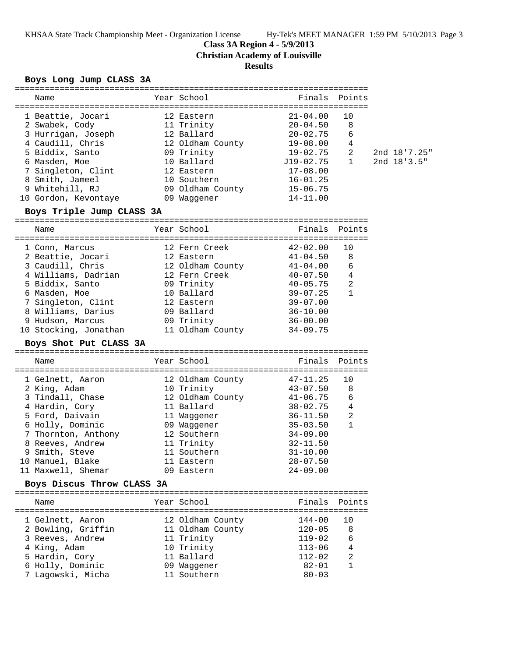KHSAA State Track Championship Meet - Organization License Hy-Tek's MEET MANAGER 1:59 PM 5/10/2013 Page 3

### **Class 3A Region 4 - 5/9/2013**

**Christian Academy of Louisville**

# **Results**

### **Boys Long Jump CLASS 3A**

| Name                                             | Year School                                  | Finals Points                |                |               |
|--------------------------------------------------|----------------------------------------------|------------------------------|----------------|---------------|
|                                                  |                                              |                              |                |               |
| 1 Beattie, Jocari                                | 12 Eastern                                   | $21 - 04.00$                 | 10             |               |
| 2 Swabek, Cody                                   | 11 Trinity<br>12 Ballard                     | $20 - 04.50$                 | 8              |               |
| 3 Hurrigan, Joseph                               |                                              | 20-02.75                     | 6              |               |
| 4 Caudill, Chris                                 |                                              | $19 - 08.00$                 | 4              |               |
| 5 Biddix, Santo                                  | 12 Oldham County<br>09 Trinity<br>09 Trinity | $19 - 02.75$                 | 2              | 2nd 18'7.25"  |
| 6 Masden, Moe                                    | 10 Ballard                                   | $J19-02.75$                  | $\mathbf{1}$   | 2nd $18'3.5"$ |
| 7 Singleton, Clint                               | 12 Eastern                                   | $17 - 08.00$                 |                |               |
| 8 Smith, Jameel                                  | 10 Southern                                  | $16 - 01.25$                 |                |               |
| 9 Whitehill, RJ                                  |                                              | $15 - 06.75$                 |                |               |
| 10 Gordon, Kevontaye                             | 09 Oldham County<br>09 Waggener              | $14 - 11.00$                 |                |               |
|                                                  | 09 Waggener                                  |                              |                |               |
| Boys Triple Jump CLASS 3A                        |                                              |                              |                |               |
| Name                                             | Year School                                  | Finals Points                |                |               |
| 1 Conn, Marcus                                   | 12 Fern Creek                                | $42 - 02.00$                 | 10             |               |
| 2 Beattie, Jocari                                | 12 Eastern                                   | $41 - 04.50$                 | 8              |               |
| 3 Caudill, Chris 12 Oldham County 41-04.00       |                                              |                              | 6              |               |
| 4 Williams, Dadrian 12 Fern Creek                |                                              | 40-07.50                     | 4              |               |
| 5 Biddix, Santo                                  |                                              | $40 - 05.75$                 | $\overline{2}$ |               |
|                                                  | 09 Trinity<br>10 Ballard                     | $39 - 07.25$                 | $\mathbf{1}$   |               |
| 6 Masden, Moe<br>7 Singleton, Clint              |                                              | $39 - 07.00$                 |                |               |
| 8 Williams, Darius 09 Ballard                    | 12 Eastern                                   | $36 - 10.00$                 |                |               |
|                                                  |                                              |                              |                |               |
| 9 Hudson, Marcus                                 | 09 Trinity                                   | $36 - 00.00$                 |                |               |
| 10 Stocking, Jonathan 11 Oldham County 34-09.75  |                                              |                              |                |               |
|                                                  |                                              |                              |                |               |
| Boys Shot Put CLASS 3A                           |                                              |                              |                |               |
| Name                                             | Year School                                  | Finals                       | Points         |               |
| 1 Gelnett, Aaron                                 | 12 Oldham County                             |                              | 10             |               |
| 2 King, Adam                                     |                                              | $47 - 11.25$<br>$43 - 07.50$ | 8              |               |
|                                                  | 10 Trinity                                   | $41 - 06.75$                 | 6              |               |
| 3 Tindall, Chase<br>4 Hardin, Cory               | 12 Oldham County                             |                              | 4              |               |
|                                                  | 11 Ballard                                   | $38 - 02.75$                 | $\overline{2}$ |               |
| 5 Ford, Daivain                                  | 11 Waggener                                  | $36 - 11.50$<br>$35 - 03.50$ | $\mathbf{1}$   |               |
| 6 Holly, Dominic                                 | 09 Waggener                                  |                              |                |               |
| 7 Thornton, Anthony                              | 12 Southern                                  | $34 - 09.00$                 |                |               |
| 8 Reeves, Andrew                                 | 11 Trinity                                   | $32 - 11.50$                 |                |               |
| 9 Smith, Steve                                   | 11 Southern                                  | $31 - 10.00$                 |                |               |
| 10 Manuel, Blake                                 | 11 Eastern<br>09 Eastern                     | $28 - 07.50$<br>$24 - 09.00$ |                |               |
| 11 Maxwell, Shemar<br>Boys Discus Throw CLASS 3A |                                              |                              |                |               |
|                                                  |                                              |                              |                |               |
| Name                                             | Year School                                  | Finals                       | Points         |               |
|                                                  |                                              | $144 - 00$                   | 10             |               |
| 1 Gelnett, Aaron                                 | 12 Oldham County                             |                              |                |               |
| 2 Bowling, Griffin                               | 11 Oldham County                             | $120 - 05$                   | 8              |               |
| 3 Reeves, Andrew                                 | 11 Trinity                                   | 119-02                       | 6              |               |
| 4 King, Adam                                     | 10 Trinity                                   | $113 - 06$                   | 4              |               |
| 5 Hardin, Cory                                   | 11 Ballard                                   | $112 - 02$                   | 2              |               |
| 6 Holly, Dominic<br>7 Lagowski, Micha            | 09 Waggener<br>11 Southern                   | $82 - 01$<br>$80 - 03$       | 1              |               |